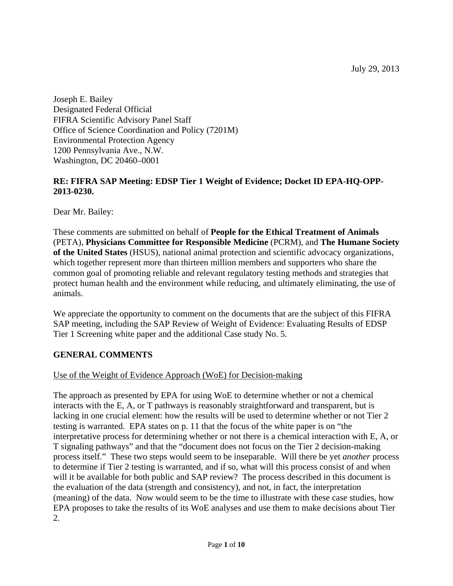Joseph E. Bailey Designated Federal Official FIFRA Scientific Advisory Panel Staff Office of Science Coordination and Policy (7201M) Environmental Protection Agency 1200 Pennsylvania Ave., N.W. Washington, DC 20460–0001

#### **RE: FIFRA SAP Meeting: EDSP Tier 1 Weight of Evidence; Docket ID EPA-HQ-OPP-2013-0230.**

Dear Mr. Bailey:

These comments are submitted on behalf of **People for the Ethical Treatment of Animals** (PETA), **Physicians Committee for Responsible Medicine** (PCRM), and **The Humane Society of the United States** (HSUS), national animal protection and scientific advocacy organizations, which together represent more than thirteen million members and supporters who share the common goal of promoting reliable and relevant regulatory testing methods and strategies that protect human health and the environment while reducing, and ultimately eliminating, the use of animals.

We appreciate the opportunity to comment on the documents that are the subject of this FIFRA SAP meeting, including the SAP Review of Weight of Evidence: Evaluating Results of EDSP Tier 1 Screening white paper and the additional Case study No. 5.

# **GENERAL COMMENTS**

### Use of the Weight of Evidence Approach (WoE) for Decision-making

The approach as presented by EPA for using WoE to determine whether or not a chemical interacts with the E, A, or T pathways is reasonably straightforward and transparent, but is lacking in one crucial element: how the results will be used to determine whether or not Tier 2 testing is warranted. EPA states on p. 11 that the focus of the white paper is on "the interpretative process for determining whether or not there is a chemical interaction with E, A, or T signaling pathways" and that the "document does not focus on the Tier 2 decision-making process itself." These two steps would seem to be inseparable. Will there be yet *another* process to determine if Tier 2 testing is warranted, and if so, what will this process consist of and when will it be available for both public and SAP review? The process described in this document is the evaluation of the data (strength and consistency), and not, in fact, the interpretation (meaning) of the data. Now would seem to be the time to illustrate with these case studies, how EPA proposes to take the results of its WoE analyses and use them to make decisions about Tier 2.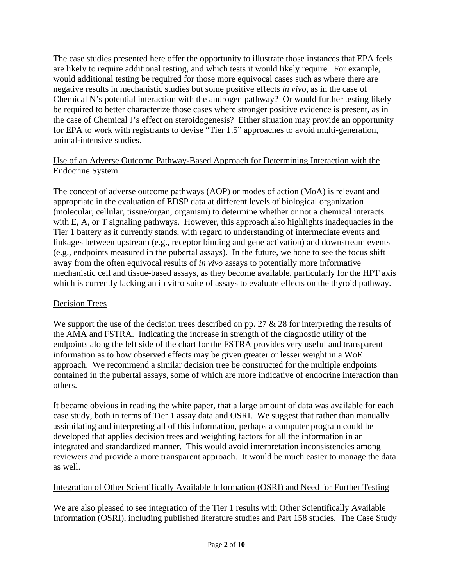The case studies presented here offer the opportunity to illustrate those instances that EPA feels are likely to require additional testing, and which tests it would likely require. For example, would additional testing be required for those more equivocal cases such as where there are negative results in mechanistic studies but some positive effects *in vivo*, as in the case of Chemical N's potential interaction with the androgen pathway? Or would further testing likely be required to better characterize those cases where stronger positive evidence is present, as in the case of Chemical J's effect on steroidogenesis? Either situation may provide an opportunity for EPA to work with registrants to devise "Tier 1.5" approaches to avoid multi-generation, animal-intensive studies.

### Use of an Adverse Outcome Pathway-Based Approach for Determining Interaction with the Endocrine System

The concept of adverse outcome pathways (AOP) or modes of action (MoA) is relevant and appropriate in the evaluation of EDSP data at different levels of biological organization (molecular, cellular, tissue/organ, organism) to determine whether or not a chemical interacts with E, A, or T signaling pathways. However, this approach also highlights inadequacies in the Tier 1 battery as it currently stands, with regard to understanding of intermediate events and linkages between upstream (e.g., receptor binding and gene activation) and downstream events (e.g., endpoints measured in the pubertal assays). In the future, we hope to see the focus shift away from the often equivocal results of *in vivo* assays to potentially more informative mechanistic cell and tissue-based assays, as they become available, particularly for the HPT axis which is currently lacking an in vitro suite of assays to evaluate effects on the thyroid pathway.

# Decision Trees

We support the use of the decision trees described on pp. 27 & 28 for interpreting the results of the AMA and FSTRA. Indicating the increase in strength of the diagnostic utility of the endpoints along the left side of the chart for the FSTRA provides very useful and transparent information as to how observed effects may be given greater or lesser weight in a WoE approach. We recommend a similar decision tree be constructed for the multiple endpoints contained in the pubertal assays, some of which are more indicative of endocrine interaction than others.

It became obvious in reading the white paper, that a large amount of data was available for each case study, both in terms of Tier 1 assay data and OSRI. We suggest that rather than manually assimilating and interpreting all of this information, perhaps a computer program could be developed that applies decision trees and weighting factors for all the information in an integrated and standardized manner. This would avoid interpretation inconsistencies among reviewers and provide a more transparent approach. It would be much easier to manage the data as well.

# Integration of Other Scientifically Available Information (OSRI) and Need for Further Testing

We are also pleased to see integration of the Tier 1 results with Other Scientifically Available Information (OSRI), including published literature studies and Part 158 studies. The Case Study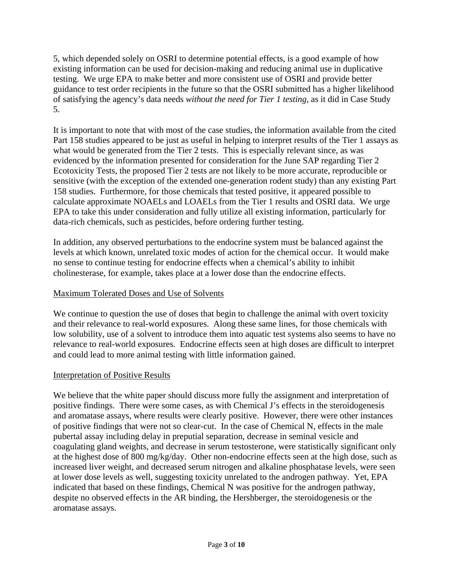5, which depended solely on OSRI to determine potential effects, is a good example of how existing information can be used for decision-making and reducing animal use in duplicative testing. We urge EPA to make better and more consistent use of OSRI and provide better guidance to test order recipients in the future so that the OSRI submitted has a higher likelihood of satisfying the agency's data needs *without the need for Tier 1 testing*, as it did in Case Study 5.

It is important to note that with most of the case studies, the information available from the cited Part 158 studies appeared to be just as useful in helping to interpret results of the Tier 1 assays as what would be generated from the Tier 2 tests. This is especially relevant since, as was evidenced by the information presented for consideration for the June SAP regarding Tier 2 Ecotoxicity Tests, the proposed Tier 2 tests are not likely to be more accurate, reproducible or sensitive (with the exception of the extended one-generation rodent study) than any existing Part 158 studies. Furthermore, for those chemicals that tested positive, it appeared possible to calculate approximate NOAELs and LOAELs from the Tier 1 results and OSRI data. We urge EPA to take this under consideration and fully utilize all existing information, particularly for data-rich chemicals, such as pesticides, before ordering further testing.

In addition, any observed perturbations to the endocrine system must be balanced against the levels at which known, unrelated toxic modes of action for the chemical occur. It would make no sense to continue testing for endocrine effects when a chemical's ability to inhibit cholinesterase, for example, takes place at a lower dose than the endocrine effects.

### Maximum Tolerated Doses and Use of Solvents

We continue to question the use of doses that begin to challenge the animal with overt toxicity and their relevance to real-world exposures. Along these same lines, for those chemicals with low solubility, use of a solvent to introduce them into aquatic test systems also seems to have no relevance to real-world exposures. Endocrine effects seen at high doses are difficult to interpret and could lead to more animal testing with little information gained.

### Interpretation of Positive Results

We believe that the white paper should discuss more fully the assignment and interpretation of positive findings. There were some cases, as with Chemical J's effects in the steroidogenesis and aromatase assays, where results were clearly positive. However, there were other instances of positive findings that were not so clear-cut. In the case of Chemical N, effects in the male pubertal assay including delay in preputial separation, decrease in seminal vesicle and coagulating gland weights, and decrease in serum testosterone, were statistically significant only at the highest dose of 800 mg/kg/day. Other non-endocrine effects seen at the high dose, such as increased liver weight, and decreased serum nitrogen and alkaline phosphatase levels, were seen at lower dose levels as well, suggesting toxicity unrelated to the androgen pathway. Yet, EPA indicated that based on these findings, Chemical N was positive for the androgen pathway, despite no observed effects in the AR binding, the Hershberger, the steroidogenesis or the aromatase assays.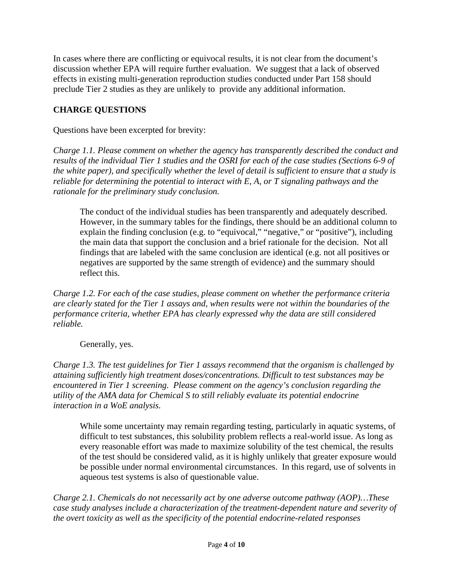In cases where there are conflicting or equivocal results, it is not clear from the document's discussion whether EPA will require further evaluation. We suggest that a lack of observed effects in existing multi-generation reproduction studies conducted under Part 158 should preclude Tier 2 studies as they are unlikely to provide any additional information.

## **CHARGE QUESTIONS**

Questions have been excerpted for brevity:

*Charge 1.1. Please comment on whether the agency has transparently described the conduct and results of the individual Tier 1 studies and the OSRI for each of the case studies (Sections 6-9 of the white paper), and specifically whether the level of detail is sufficient to ensure that a study is reliable for determining the potential to interact with E, A, or T signaling pathways and the rationale for the preliminary study conclusion.* 

The conduct of the individual studies has been transparently and adequately described. However, in the summary tables for the findings, there should be an additional column to explain the finding conclusion (e.g. to "equivocal," "negative," or "positive"), including the main data that support the conclusion and a brief rationale for the decision. Not all findings that are labeled with the same conclusion are identical (e.g. not all positives or negatives are supported by the same strength of evidence) and the summary should reflect this.

*Charge 1.2. For each of the case studies, please comment on whether the performance criteria are clearly stated for the Tier 1 assays and, when results were not within the boundaries of the performance criteria, whether EPA has clearly expressed why the data are still considered reliable.* 

Generally, yes.

*Charge 1.3. The test guidelines for Tier 1 assays recommend that the organism is challenged by attaining sufficiently high treatment doses/concentrations. Difficult to test substances may be encountered in Tier 1 screening. Please comment on the agency's conclusion regarding the utility of the AMA data for Chemical S to still reliably evaluate its potential endocrine interaction in a WoE analysis.* 

While some uncertainty may remain regarding testing, particularly in aquatic systems, of difficult to test substances, this solubility problem reflects a real-world issue. As long as every reasonable effort was made to maximize solubility of the test chemical, the results of the test should be considered valid, as it is highly unlikely that greater exposure would be possible under normal environmental circumstances. In this regard, use of solvents in aqueous test systems is also of questionable value.

*Charge 2.1. Chemicals do not necessarily act by one adverse outcome pathway (AOP)…These case study analyses include a characterization of the treatment-dependent nature and severity of the overt toxicity as well as the specificity of the potential endocrine-related responses*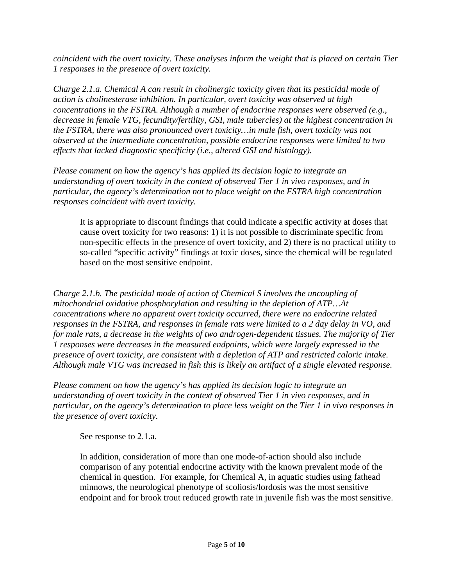*coincident with the overt toxicity. These analyses inform the weight that is placed on certain Tier 1 responses in the presence of overt toxicity.* 

*Charge 2.1.a. Chemical A can result in cholinergic toxicity given that its pesticidal mode of action is cholinesterase inhibition. In particular, overt toxicity was observed at high concentrations in the FSTRA. Although a number of endocrine responses were observed (e.g., decrease in female VTG, fecundity/fertility, GSI, male tubercles) at the highest concentration in the FSTRA, there was also pronounced overt toxicity…in male fish, overt toxicity was not observed at the intermediate concentration, possible endocrine responses were limited to two effects that lacked diagnostic specificity (i.e., altered GSI and histology).* 

*Please comment on how the agency's has applied its decision logic to integrate an understanding of overt toxicity in the context of observed Tier 1 in vivo responses, and in particular, the agency's determination not to place weight on the FSTRA high concentration responses coincident with overt toxicity.* 

It is appropriate to discount findings that could indicate a specific activity at doses that cause overt toxicity for two reasons: 1) it is not possible to discriminate specific from non-specific effects in the presence of overt toxicity, and 2) there is no practical utility to so-called "specific activity" findings at toxic doses, since the chemical will be regulated based on the most sensitive endpoint.

*Charge 2.1.b. The pesticidal mode of action of Chemical S involves the uncoupling of mitochondrial oxidative phosphorylation and resulting in the depletion of ATP…At concentrations where no apparent overt toxicity occurred, there were no endocrine related responses in the FSTRA, and responses in female rats were limited to a 2 day delay in VO, and for male rats, a decrease in the weights of two androgen-dependent tissues. The majority of Tier 1 responses were decreases in the measured endpoints, which were largely expressed in the presence of overt toxicity, are consistent with a depletion of ATP and restricted caloric intake. Although male VTG was increased in fish this is likely an artifact of a single elevated response.* 

*Please comment on how the agency's has applied its decision logic to integrate an understanding of overt toxicity in the context of observed Tier 1 in vivo responses, and in particular, on the agency's determination to place less weight on the Tier 1 in vivo responses in the presence of overt toxicity.* 

See response to 2.1.a.

In addition, consideration of more than one mode-of-action should also include comparison of any potential endocrine activity with the known prevalent mode of the chemical in question. For example, for Chemical A, in aquatic studies using fathead minnows, the neurological phenotype of scoliosis/lordosis was the most sensitive endpoint and for brook trout reduced growth rate in juvenile fish was the most sensitive.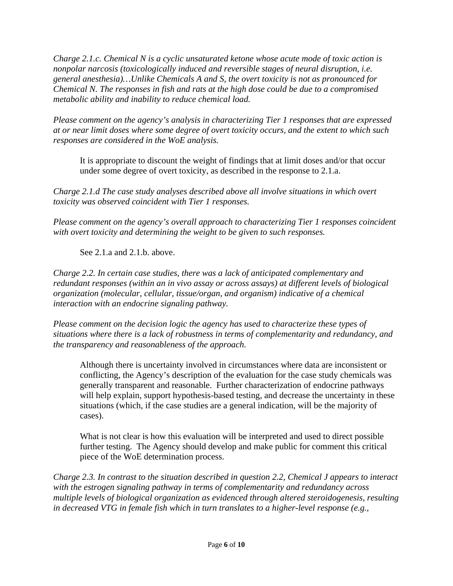*Charge 2.1.c. Chemical N is a cyclic unsaturated ketone whose acute mode of toxic action is nonpolar narcosis (toxicologically induced and reversible stages of neural disruption, i.e. general anesthesia)…Unlike Chemicals A and S, the overt toxicity is not as pronounced for Chemical N. The responses in fish and rats at the high dose could be due to a compromised metabolic ability and inability to reduce chemical load.* 

*Please comment on the agency's analysis in characterizing Tier 1 responses that are expressed at or near limit doses where some degree of overt toxicity occurs, and the extent to which such responses are considered in the WoE analysis.* 

It is appropriate to discount the weight of findings that at limit doses and/or that occur under some degree of overt toxicity, as described in the response to 2.1.a.

*Charge 2.1.d The case study analyses described above all involve situations in which overt toxicity was observed coincident with Tier 1 responses.* 

*Please comment on the agency's overall approach to characterizing Tier 1 responses coincident with overt toxicity and determining the weight to be given to such responses.* 

See 2.1.a and 2.1.b. above.

*Charge 2.2. In certain case studies, there was a lack of anticipated complementary and redundant responses (within an in vivo assay or across assays) at different levels of biological organization (molecular, cellular, tissue/organ, and organism) indicative of a chemical interaction with an endocrine signaling pathway.* 

*Please comment on the decision logic the agency has used to characterize these types of situations where there is a lack of robustness in terms of complementarity and redundancy, and the transparency and reasonableness of the approach.* 

Although there is uncertainty involved in circumstances where data are inconsistent or conflicting, the Agency's description of the evaluation for the case study chemicals was generally transparent and reasonable. Further characterization of endocrine pathways will help explain, support hypothesis-based testing, and decrease the uncertainty in these situations (which, if the case studies are a general indication, will be the majority of cases).

What is not clear is how this evaluation will be interpreted and used to direct possible further testing. The Agency should develop and make public for comment this critical piece of the WoE determination process.

*Charge 2.3. In contrast to the situation described in question 2.2, Chemical J appears to interact with the estrogen signaling pathway in terms of complementarity and redundancy across multiple levels of biological organization as evidenced through altered steroidogenesis, resulting in decreased VTG in female fish which in turn translates to a higher-level response (e.g.,*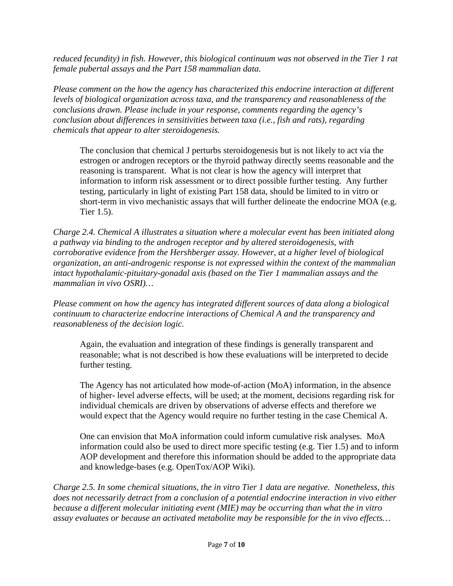*reduced fecundity) in fish. However, this biological continuum was not observed in the Tier 1 rat female pubertal assays and the Part 158 mammalian data.* 

*Please comment on the how the agency has characterized this endocrine interaction at different levels of biological organization across taxa, and the transparency and reasonableness of the conclusions drawn. Please include in your response, comments regarding the agency's conclusion about differences in sensitivities between taxa (i.e., fish and rats), regarding chemicals that appear to alter steroidogenesis.* 

The conclusion that chemical J perturbs steroidogenesis but is not likely to act via the estrogen or androgen receptors or the thyroid pathway directly seems reasonable and the reasoning is transparent. What is not clear is how the agency will interpret that information to inform risk assessment or to direct possible further testing. Any further testing, particularly in light of existing Part 158 data, should be limited to in vitro or short-term in vivo mechanistic assays that will further delineate the endocrine MOA (e.g. Tier 1.5).

*Charge 2.4. Chemical A illustrates a situation where a molecular event has been initiated along a pathway via binding to the androgen receptor and by altered steroidogenesis, with corroborative evidence from the Hershberger assay. However, at a higher level of biological organization, an anti-androgenic response is not expressed within the context of the mammalian intact hypothalamic-pituitary-gonadal axis (based on the Tier 1 mammalian assays and the mammalian in vivo OSRI)…* 

*Please comment on how the agency has integrated different sources of data along a biological continuum to characterize endocrine interactions of Chemical A and the transparency and reasonableness of the decision logic.* 

Again, the evaluation and integration of these findings is generally transparent and reasonable; what is not described is how these evaluations will be interpreted to decide further testing.

The Agency has not articulated how mode-of-action (MoA) information, in the absence of higher- level adverse effects, will be used; at the moment, decisions regarding risk for individual chemicals are driven by observations of adverse effects and therefore we would expect that the Agency would require no further testing in the case Chemical A.

One can envision that MoA information could inform cumulative risk analyses. MoA information could also be used to direct more specific testing (e.g. Tier 1.5) and to inform AOP development and therefore this information should be added to the appropriate data and knowledge-bases (e.g. OpenTox/AOP Wiki).

*Charge 2.5. In some chemical situations, the in vitro Tier 1 data are negative. Nonetheless, this does not necessarily detract from a conclusion of a potential endocrine interaction in vivo either because a different molecular initiating event (MIE) may be occurring than what the in vitro assay evaluates or because an activated metabolite may be responsible for the in vivo effects…*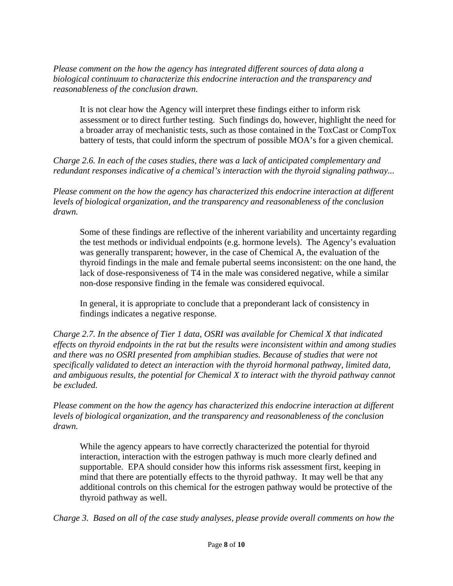*Please comment on the how the agency has integrated different sources of data along a biological continuum to characterize this endocrine interaction and the transparency and reasonableness of the conclusion drawn.* 

It is not clear how the Agency will interpret these findings either to inform risk assessment or to direct further testing. Such findings do, however, highlight the need for a broader array of mechanistic tests, such as those contained in the ToxCast or CompTox battery of tests, that could inform the spectrum of possible MOA's for a given chemical.

*Charge 2.6. In each of the cases studies, there was a lack of anticipated complementary and redundant responses indicative of a chemical's interaction with the thyroid signaling pathway...* 

*Please comment on the how the agency has characterized this endocrine interaction at different levels of biological organization, and the transparency and reasonableness of the conclusion drawn.* 

Some of these findings are reflective of the inherent variability and uncertainty regarding the test methods or individual endpoints (e.g. hormone levels). The Agency's evaluation was generally transparent; however, in the case of Chemical A, the evaluation of the thyroid findings in the male and female pubertal seems inconsistent: on the one hand, the lack of dose-responsiveness of T4 in the male was considered negative, while a similar non-dose responsive finding in the female was considered equivocal.

In general, it is appropriate to conclude that a preponderant lack of consistency in findings indicates a negative response.

*Charge 2.7. In the absence of Tier 1 data, OSRI was available for Chemical X that indicated effects on thyroid endpoints in the rat but the results were inconsistent within and among studies and there was no OSRI presented from amphibian studies. Because of studies that were not specifically validated to detect an interaction with the thyroid hormonal pathway, limited data, and ambiguous results, the potential for Chemical X to interact with the thyroid pathway cannot be excluded.* 

*Please comment on the how the agency has characterized this endocrine interaction at different levels of biological organization, and the transparency and reasonableness of the conclusion drawn.* 

While the agency appears to have correctly characterized the potential for thyroid interaction, interaction with the estrogen pathway is much more clearly defined and supportable. EPA should consider how this informs risk assessment first, keeping in mind that there are potentially effects to the thyroid pathway. It may well be that any additional controls on this chemical for the estrogen pathway would be protective of the thyroid pathway as well.

*Charge 3. Based on all of the case study analyses, please provide overall comments on how the*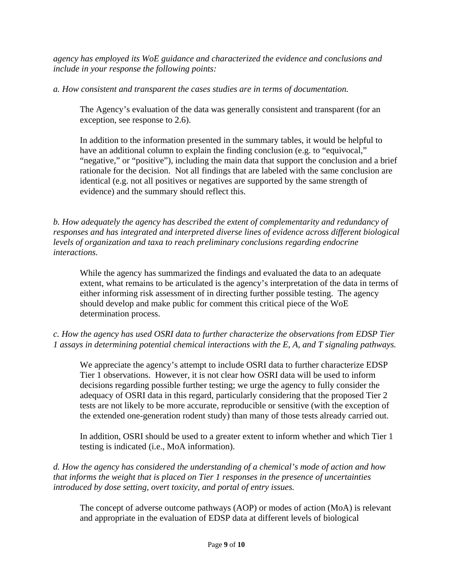*agency has employed its WoE guidance and characterized the evidence and conclusions and include in your response the following points:* 

*a. How consistent and transparent the cases studies are in terms of documentation.* 

The Agency's evaluation of the data was generally consistent and transparent (for an exception, see response to 2.6).

In addition to the information presented in the summary tables, it would be helpful to have an additional column to explain the finding conclusion (e.g. to "equivocal," "negative," or "positive"), including the main data that support the conclusion and a brief rationale for the decision. Not all findings that are labeled with the same conclusion are identical (e.g. not all positives or negatives are supported by the same strength of evidence) and the summary should reflect this.

*b. How adequately the agency has described the extent of complementarity and redundancy of responses and has integrated and interpreted diverse lines of evidence across different biological levels of organization and taxa to reach preliminary conclusions regarding endocrine interactions.* 

While the agency has summarized the findings and evaluated the data to an adequate extent, what remains to be articulated is the agency's interpretation of the data in terms of either informing risk assessment of in directing further possible testing. The agency should develop and make public for comment this critical piece of the WoE determination process.

## *c. How the agency has used OSRI data to further characterize the observations from EDSP Tier 1 assays in determining potential chemical interactions with the E, A, and T signaling pathways.*

We appreciate the agency's attempt to include OSRI data to further characterize EDSP Tier 1 observations. However, it is not clear how OSRI data will be used to inform decisions regarding possible further testing; we urge the agency to fully consider the adequacy of OSRI data in this regard, particularly considering that the proposed Tier 2 tests are not likely to be more accurate, reproducible or sensitive (with the exception of the extended one-generation rodent study) than many of those tests already carried out.

In addition, OSRI should be used to a greater extent to inform whether and which Tier 1 testing is indicated (i.e., MoA information).

## *d. How the agency has considered the understanding of a chemical's mode of action and how that informs the weight that is placed on Tier 1 responses in the presence of uncertainties introduced by dose setting, overt toxicity, and portal of entry issues.*

The concept of adverse outcome pathways (AOP) or modes of action (MoA) is relevant and appropriate in the evaluation of EDSP data at different levels of biological